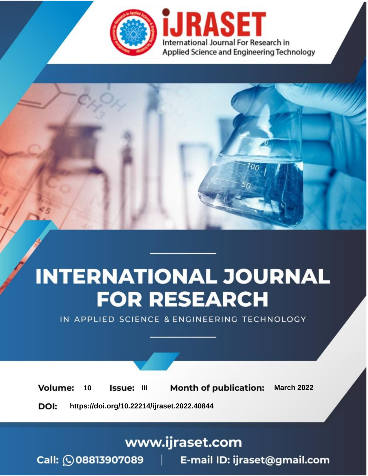

# **INTERNATIONAL JOURNAL FOR RESEARCH**

IN APPLIED SCIENCE & ENGINEERING TECHNOLOGY

10 **Issue: III Month of publication:** March 2022 **Volume:** 

**https://doi.org/10.22214/ijraset.2022.40844**DOI:

www.ijraset.com

Call: 008813907089 | E-mail ID: ijraset@gmail.com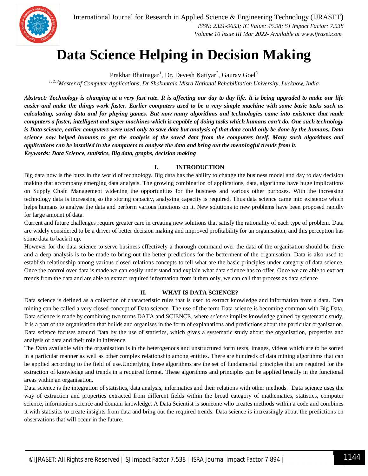### **Data Science Helping in Decision Making**

Prakhar Bhatnagar<sup>1</sup>, Dr. Devesh Katiyar<sup>2</sup>, Gaurav Goel<sup>3</sup>

*1, 2, 3Master of Computer Applications, Dr Shakuntala Misra National Rehabilitation University, Lucknow, India*

*Abstract: Technology is changing at a very fast rate. It is affecting our day to day life. It is being upgraded to make our life easier and make the things work faster. Earlier computers used to be a very simple machine with some basic tasks such as calculating, saving data and for playing games. But now many algorithms and technologies came into existence that made computers a faster, intelligent and super machines which is capable of doing tasks which humans can't do. One such technology is Data science, earlier computers were used only to save data but analysis of that data could only be done by the humans. Data science now helped humans to get the analysis of the saved data from the computers itself. Many such algorithms and applications can be installed in the computers to analyse the data and bring out the meaningful trends from it. Keywords: Data Science, statistics, Big data, graphs, decision making*

#### **I. INTRODUCTION**

Big data now is the buzz in the world of technology. Big data has the ability to change the business model and day to day decision making that accompany emerging data analysis. The growing combination of applications, data, algorithms have huge implications on Supply Chain Management widening the opportunities for the business and various other purposes. With the increasing technology data is increasing so the storing capacity, analysing capacity is required. Thus data science came into existence which helps humans to analyse the data and perform various functions on it. New solutions to new problems have been proposed rapidly for large amount of data.

Current and future challenges require greater care in creating new solutions that satisfy the rationality of each type of problem. Data are widely considered to be a driver of better decision making and improved profitability for an organisation, and this perception has some data to back it up.

However for the data science to serve business effectively a thorough command over the data of the organisation should be there and a deep analysis is to be made to bring out the better predictions for the betterment of the organisation. Data is also used to establish relationship among various closed relations concepts to tell what are the basic principles under category of data science. Once the control over data is made we can easily understand and explain what data science has to offer. Once we are able to extract trends from the data and are able to extract required information from it then only, we can call that process as data science

#### **II. WHAT IS DATA SCIENCE?**

Data science is defined as a collection of characteristic rules that is used to extract knowledge and information from a data. Data mining can be called a very closed concept of Data science. The use of the term Data science is becoming common with Big Data*.* Data science is made by combining two terms DATA and SCIENCE, where *science* implies knowledge gained by systematic study. It is a part of the organisation that builds and organises in the form of explanations and predictions about the particular organisation. Data science focuses around Data by the use of statistics, which gives a systematic study about the organisation, properties and analysis of data and their role in inference.

The *Data* available with the organisation is in the heterogenous and unstructured form texts, images, videos which are to be sorted in a particular manner as well as other complex relationship among entities. There are hundreds of data mining algorithms that can be applied according to the field of use.Underlying these algorithms are the set of fundamental principles that are required for the extraction of knowledge and trends in a required format. These algorithms and principles can be applied broadly in the functional areas within an organisation.

Data science is the integration of statistics, data analysis, informatics and their relations with other methods. Data science uses the way of extraction and properties extracted from different fields within the broad category of mathematics, statistics, computer science, information science and domain knowledge. A Data Scientist is someone who creates methods within a code and combines it with statistics to create insights from data and bring out the required trends. Data science is increasingly about the predictions on observations that will occur in the future.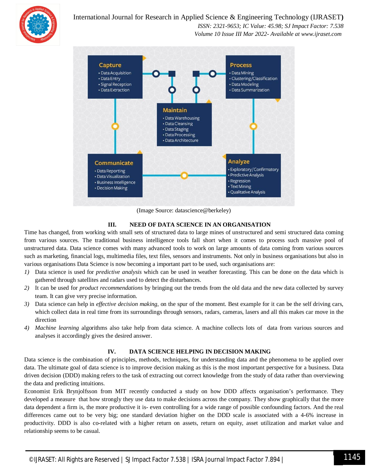

#### International Journal for Research in Applied Science & Engineering Technology (IJRASET**)**

 *ISSN: 2321-9653; IC Value: 45.98; SJ Impact Factor: 7.538 Volume 10 Issue III Mar 2022- Available at www.ijraset.com*



(Image Source: datascience@berkeley)

#### **III. NEED OF DATA SCIENCE IN AN ORGANISATION**

Time has changed, from working with small sets of structured data to large mines of unstructured and semi structured data coming from various sources. The traditional business intelligence tools fall short when it comes to process such massive pool of unstructured data. Data science comes with many advanced tools to work on large amounts of data coming from various sources such as marketing, financial logs, multimedia files, text files, sensors and instruments. Not only in business organisations but also in various organisations Data Science is now becoming a important part to be used, such organisations are:

- *1)* Data science is used for *predictive analysis* which can be used in weather forecasting. This can be done on the data which is gathered through satellites and radars used to detect the disturbances.
- *2)* It can be used for *product recommendations* by bringing out the trends from the old data and the new data collected by survey team. It can give very precise information.
- *3)* Data science can help in *effective decision making*, on the spur of the moment. Best example for it can be the self driving cars, which collect data in real time from its surroundings through sensors, radars, cameras, lasers and all this makes car move in the direction
- *4) Machine learning* algorithms also take help from data science. A machine collects lots of data from various sources and analyses it accordingly gives the desired answer.

#### **IV. DATA SCIENCE HELPING IN DECISION MAKING**

Data science is the combination of principles, methods, techniques, for understanding data and the phenomena to be applied over data. The ultimate goal of data science is to improve decision making as this is the most important perspective for a business. Data driven decision (DDD) making refers to the task of extracting out correct knowledge from the study of data rather than overviewing the data and predicting intuitions.

Economist Erik Brynjolfsson from MIT recently conducted a study on how DDD affects organisation's performance. They developed a measure that how strongly they use data to make decisions across the company. They show graphically that the more data dependent a firm is, the more productive it is- even controlling for a wide range of possible confounding factors. And the real differences came out to be very big; one standard deviation higher on the DDD scale is associated with a 4-6% increase in productivity. DDD is also co-related with a higher return on assets, return on equity, asset utilization and market value and relationship seems to be casual.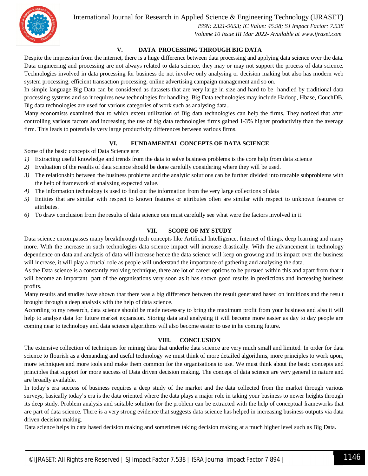International Journal for Research in Applied Science & Engineering Technology (IJRASET**)**



 *ISSN: 2321-9653; IC Value: 45.98; SJ Impact Factor: 7.538 Volume 10 Issue III Mar 2022- Available at www.ijraset.com*

#### **V. DATA PROCESSING THROUGH BIG DATA**

Despite the impression from the internet, there is a huge difference between data processing and applying data science over the data. Data engineering and processing are not always related to data science, they may or may not support the process of data science. Technologies involved in data processing for business do not involve only analysing or decision making but also has modern web system processing, efficient transaction processing, online advertising campaign management and so on.

In simple language Big Data can be considered as datasets that are very large in size and hard to be handled by traditional data processing systems and so it requires new technologies for handling. Big Data technologies may include Hadoop, Hbase, CouchDB. Big data technologies are used for various categories of work such as analysing data..

Many economists examined that to which extent utilization of Big data technologies can help the firms. They noticed that after controlling various factors and increasing the use of big data technologies firms gained 1-3% higher productivity than the average firm. This leads to potentially very large productivity differences between various firms.

#### **VI. FUNDAMENTAL CONCEPTS OF DATA SCIENCE**

Some of the basic concepts of Data Science are:

- *1)* Extracting useful knowledge and trends from the data to solve business problems is the core help from data science
- *2)* Evaluation of the results of data science should be done carefully considering where they will be used.
- *3)* The relationship between the business problems and the analytic solutions can be further divided into tracable subproblems with the help of framework of analysing expected value.
- *4)* The information technology is used to find out the information from the very large collections of data
- *5)* Entities that are similar with respect to known features or attributes often are similar with respect to unknown features or attributes.
- *6)* To draw conclusion from the results of data science one must carefully see what were the factors involved in it.

#### **VII. SCOPE OF MY STUDY**

Data science encompasses many breakthrough tech concepts like Artificial Intelligence, Internet of things, deep learning and many more. With the increase in such technologies data science impact will increase drastically. With the advancement in technology dependence on data and analysis of data will increase hence the data science will keep on growing and its impact over the business will increase, it will play a crucial role as people will understand the importance of gathering and analysing the data.

As the Data science is a constantly evolving technique, there are lot of career options to be pursued within this and apart from that it will become an important part of the organisations very soon as it has shown good results in predictions and increasing business profits.

Many results and studies have shown that there was a big difference between the result generated based on intuitions and the result brought through a deep analysis with the help of data science.

According to my research, data science should be made necessary to bring the maximum profit from your business and also it will help to analyse data for future market expansion. Storing data and analysing it will become more easier as day to day people are coming near to technology and data science algorithms will also become easier to use in he coming future.

#### **VIII. CONCLUSION**

The extensive collection of techniques for mining data that underlie data science are very much small and limited. In order for data science to flourish as a demanding and useful technology we must think of more detailed algorithms, more principles to work upon, more techniques and more tools and make them common for the organisations to use. We must think about the basic concepts and principles that support for more success of Data driven decision making. The concept of data science are very general in nature and are broadly available.

In today's era success of business requires a deep study of the market and the data collected from the market through various surveys, basically today's era is the data oriented where the data plays a major role in taking your business to newer heights through its deep study. Problem analysis and suitable solution for the problem can be extracted with the help of conceptual frameworks that are part of data science. There is a very strong evidence that suggests data science has helped in increasing business outputs via data driven decision making.

Data science helps in data based decision making and sometimes taking decision making at a much higher level such as Big Data.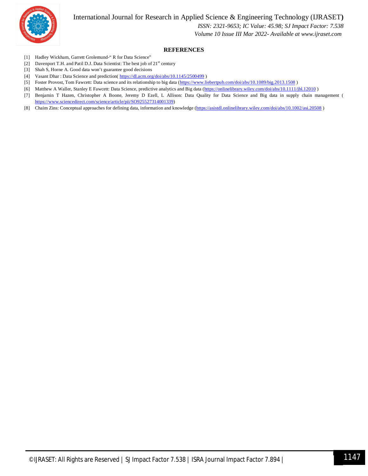International Journal for Research in Applied Science & Engineering Technology (IJRASET**)**



 *ISSN: 2321-9653; IC Value: 45.98; SJ Impact Factor: 7.538 Volume 10 Issue III Mar 2022- Available at www.ijraset.com*

#### **REFERENCES**

- [1] Hadley Wickham, Garrett Grolemund-" R for Data Science"
- [2] Davenport T.H. and Patil D.J. Data Scientist: The best job of 21<sup>st</sup> century
- [3] Shah S, Horne A. Good data won't guarantee good decisions
- [4] Vasant Dhar : Data Science and prediction( https://dl.acm.org/doi/abs/10.1145/2500499)
- [5] Foster Provost, Tom Fawcett: Data science and its relationship to big data (https://www.liebertpub.com/doi/abs/10.1089/big.2013.1508)
- [6] Matthew A Waller, Stanley E Fawcett: Data Science, predictive analytics and Big data (https://onlinelibrary.wiley.com/doi/abs/10.1111/jbl.12010 )
- [7] Benjamin T Hazen, Christopher A Boone, Jeremy D Ezell, L Allison: Data Quality for Data Science and Big data in supply chain management ( https://www.sciencedirect.com/science/article/pii/SO925527314001339)
- [8] Chaim Zins: Conceptual approaches for defining data, information and knowledge (https://asistdl.onlinelibrary.wiley.com/doi/abs/10.1002/asi.20508)